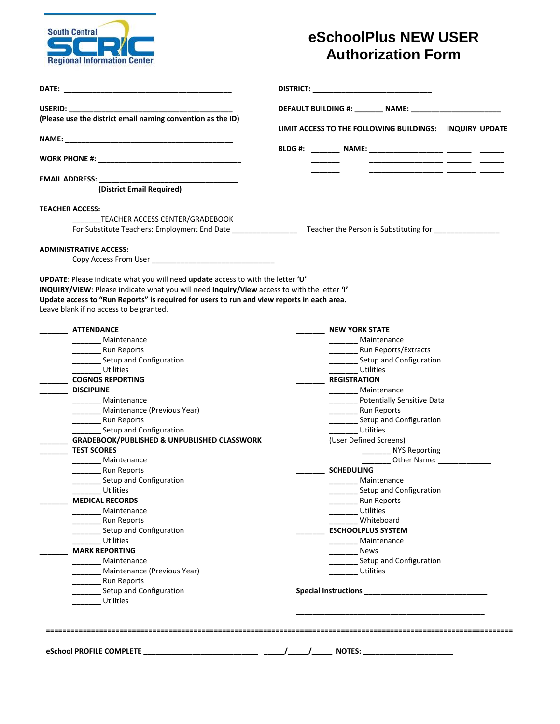

## **eSchoolPlus NEW USER Authorization Form**

| DATE:                                                                                                                                 | DISTRICT: the contract of the contract of the contract of the contract of the contract of the contract of the contract of the contract of the contract of the contract of the contract of the contract of the contract of the |
|---------------------------------------------------------------------------------------------------------------------------------------|-------------------------------------------------------------------------------------------------------------------------------------------------------------------------------------------------------------------------------|
| USERID: _____                                                                                                                         | DEFAULT BUILDING #: ________ NAME: _________                                                                                                                                                                                  |
| (Please use the district email naming convention as the ID)                                                                           | LIMIT ACCESS TO THE FOLLOWING BUILDINGS: INQUIRY UPDATE                                                                                                                                                                       |
|                                                                                                                                       |                                                                                                                                                                                                                               |
|                                                                                                                                       | BLDG #: __________ NAME: ___________________ ________ _______                                                                                                                                                                 |
| <b>EMAIL ADDRESS:</b>                                                                                                                 | <u> 1989 - John Harrison, mars eta inperiodo</u>                                                                                                                                                                              |
| (District Email Required)                                                                                                             |                                                                                                                                                                                                                               |
| <b>TEACHER ACCESS:</b>                                                                                                                |                                                                                                                                                                                                                               |
| TEACHER ACCESS CENTER/GRADEBOOK                                                                                                       |                                                                                                                                                                                                                               |
|                                                                                                                                       | For Substitute Teachers: Employment End Date ____________________ Teacher the Person is Substituting for ___________                                                                                                          |
| <b>ADMINISTRATIVE ACCESS:</b>                                                                                                         |                                                                                                                                                                                                                               |
| Copy Access From User <b>Example 20</b>                                                                                               |                                                                                                                                                                                                                               |
| Update access to "Run Reports" is required for users to run and view reports in each area.<br>Leave blank if no access to be granted. |                                                                                                                                                                                                                               |
| <b>ATTENDANCE</b>                                                                                                                     | <b>NEW YORK STATE</b>                                                                                                                                                                                                         |
| Maintenance                                                                                                                           | _________ Maintenance                                                                                                                                                                                                         |
| Run Reports                                                                                                                           |                                                                                                                                                                                                                               |
| ___________ Setup and Configuration                                                                                                   | _________ Setup and Configuration                                                                                                                                                                                             |
| <b>Utilities</b><br><b>COGNOS REPORTING</b>                                                                                           | Utilities<br><b>REGISTRATION</b>                                                                                                                                                                                              |
| <b>DISCIPLINE</b>                                                                                                                     | ________ Maintenance                                                                                                                                                                                                          |
| Maintenance                                                                                                                           | ___________ Potentially Sensitive Data                                                                                                                                                                                        |
| Maintenance (Previous Year)                                                                                                           | Run Reports                                                                                                                                                                                                                   |
|                                                                                                                                       | Setup and Configuration                                                                                                                                                                                                       |
| Setup and Configuration                                                                                                               | Utilities                                                                                                                                                                                                                     |
| GRADEBOOK/PUBLISHED & UNPUBLISHED CLASSWORK                                                                                           | (User Defined Screens)                                                                                                                                                                                                        |
| <b>TEST SCORES</b>                                                                                                                    | ________ NYS Reporting                                                                                                                                                                                                        |
| Maintenance                                                                                                                           |                                                                                                                                                                                                                               |
| <b>Run Reports</b>                                                                                                                    | <b>SCHEDULING</b>                                                                                                                                                                                                             |
| Setup and Configuration                                                                                                               | ________ Maintenance                                                                                                                                                                                                          |
| Utilities                                                                                                                             | Setup and Configuration                                                                                                                                                                                                       |
| <b>MEDICAL RECORDS</b>                                                                                                                | Run Reports                                                                                                                                                                                                                   |
| Maintenance                                                                                                                           | <b>Utilities</b>                                                                                                                                                                                                              |
| <b>Run Reports</b>                                                                                                                    | Whiteboard<br><b>ESCHOOLPLUS SYSTEM</b>                                                                                                                                                                                       |
| Setup and Configuration<br>Utilities                                                                                                  | ________ Maintenance                                                                                                                                                                                                          |
| <b>MARK REPORTING</b>                                                                                                                 | <b>News</b>                                                                                                                                                                                                                   |
| Maintenance                                                                                                                           | Setup and Configuration                                                                                                                                                                                                       |
| Maintenance (Previous Year)                                                                                                           | <b>Utilities</b>                                                                                                                                                                                                              |
| Run Reports                                                                                                                           |                                                                                                                                                                                                                               |
|                                                                                                                                       |                                                                                                                                                                                                                               |
| Setup and Configuration                                                                                                               |                                                                                                                                                                                                                               |
| <b>Utilities</b>                                                                                                                      |                                                                                                                                                                                                                               |
|                                                                                                                                       |                                                                                                                                                                                                                               |